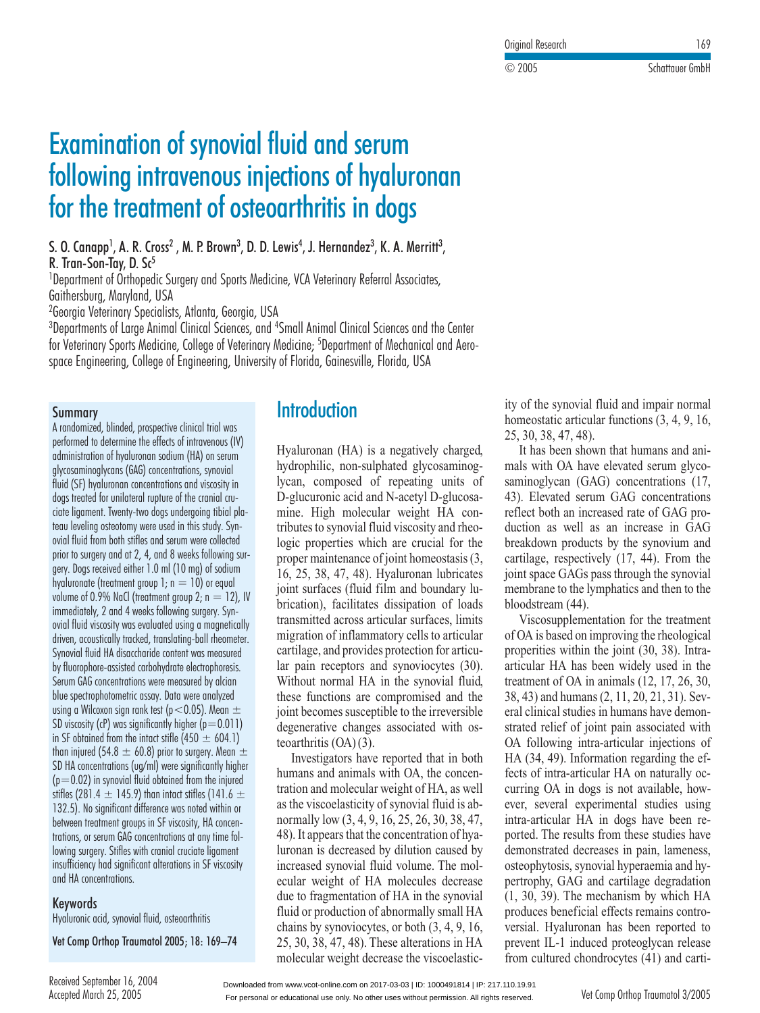Research <sup>169</sup>

Experience of the Schattauer GmbH<br>Schattauer GmbH

C 2005

# synovial fluid and serum ial fluid and serum<br>injections of hyaluronan mination of synovial fluid and serum<br>Suming intravenous injections of hyalur<br>The treatment of osteoarthritis in doas S., A. R. Cross, M. P. Brown, D. D. Lewis, J. Hernandez, K. A. Merritt $\frac{1}{\pi}$  or the  $\frac{1}{\pi}$ **for the treatment of osteoarthritis in**<br>S. O. Canapp<sup>1</sup>, A. R. Cross<sup>2</sup> , M. P. Brown<sup>3</sup>, D. D. Lewis<sup>4</sup>, J. Hernandez<sup>3</sup><br>R. Tran-Son-Tav. D. Sc<sup>5</sup> ,Department of  $\overline{\mathbf{0}}$

, M. F. DIUWII", D. D. LEWIS, J. HEIHUHUEZ', N. A. MEITHI',  $\overline{1}$ Surgery and Sports Medicine, VCA Veterinary Referral Associates, Surgery and Sports Medicine, VCA Veterinary Referral Associates, <mark>S. O. Canapp<sup>1</sup>, A. R. Cross<sup>2</sup><br>R. Tran-Son-Tay, D. Sc<sup>5</sup><br><sup>1</sup>Department of Orthopedic Si<br>Gaithersbura. Marvland. USA</mark> K. Iran-Son<br>In o. V. Canapp', A. K. Cross<sup>2</sup> ,

m. P. Brown<sup>3</sup>, D. D. L.<br><sub>Gery and Sports Medici<br>Atlanta. Georaia. USA</sub> 1 t. **Iran-Son-Iay, D. Sc<sup>3</sup><br>Department of Orthopedic Surgery and Sports Medicine, VCA Veterinary Referral Associates,<br>Georgia Veterinary Specialists, Atlanta, Georgia, USA<br>Georgia Veterinary Specialists, Atlanta, Georgia, U** Tay, D. Sc<sup>3</sup><br>of Orthopedic Surgery and Sports Medicine, VCA Veteri<br>Maryland, USA<br>rinary Specialists, Atlanta, Georgia, USA<br>of Large Animal Clinical Sciences, and <sup>4</sup>Small Animal 'Department of Urthopedic Surgery and Sports Medicine, VCA Veterinary Referral Associate Gaithersburg, Maryland, USA

<sup>2</sup>Georgia Veterinary Specialists, Atlanta, Georgia, USA

epartment of Urthopedic Surgery and Sports Medicine, VCA veterinary Keterral Associates,<br>ithersburg, Maryland, USA<br>eorgia Veterinary Specialists, Atlanta, Georgia, USA<br>epartments of Large Animal Clinical Sciences, and <sup>4</sup>S <sup>1</sup>and, USA<br>7 Specialists, Atlanta, Georgia, USA<br>1rge Animal Clinical Sciences, and <sup>4</sup>Small Animal Clinical Sciences and<br>1s Medicine, College of Veterinary Medicine; <sup>5</sup>Department of Mechanica<br>College of Engineering. Univ for Veterinary Sports Medicine, College of Veterinary Medicine; <sup>5</sup>Department of Mechanical and Aero-<br>space Engineering, College of Engineering, University of Florida, Gainesville, Florida, USA <sup>I</sup>Small Animal Clini

#### Summary

 blinded, prospective clinical trial was spective clinical trial was<br>effects of intravenous (IV) blinded, prospective clinical trial was<br>letermine the effects of intravenous (I)<br>of hyaluronan sodium (HA) on serum **Summary**<br>A randomized, blinded, prospective clinical trial wa<br>performed to determine the effects of intravenous (<br>administration of hyaluronan sodium (HA) on serui<br>alvcosaminoalvcans (GAG) concentrations, svnovial a iui<br>م (Separation of hyaluronan continuation in the straight of determine the effects of intravenous (Ninistration of hyaluronan sodium (HA) on serum<br>Saminoglycans (GAG) concentrations, synovial<br>(SF) hyaluronan concentrations an performed to determine the effects of intravenous (IV) trinea to determine the enects of influvenous (to<br>inistration of hyaluronan sodium (HA) on serum<br>saminoglycans (GAG) concentrations, synovial<br>(SF) hyaluronan concentrations and viscosity in<br>treated for unilateral rupture o ciate ligamente della contracto della contracto della contracto della contracto della contracto della contract<br>Contracto della contracto della contracto della contracto della contracto della contracto della contracto dell or hydrotonal southful (ha) on setom<br>cans (GAG) concentrations, synovial<br>pronan concentrations and viscosity in<br>r unilateral rupture of the cranial cru-<br>Twenty-two doas undergoing tibial plaglycosaminoglycans (GAG) concentrations, synovial<br>fluid (SF) hvaluronan concentrations and viscosity in Summoglycans (oxo) concemtations, synovia<br>(SF) hyaluronan concentrations and viscosity in<br>treated for unilateral rupture of the cranial cru-<br>ligament. Twenty-two dogs undergoing tibial pla<br>leveling osteotomy were used in t ovial for information concentrations and viscosity in<br>dogs treated for unilateral rupture of the cranial cru-<br>ciate ligament. Twenty-two dogs undergoing tibial pl<br>teau leveling osteotomy were used in this study. Syn-<br>ovial prior to surface to surface to surface the surface of the surface surface to surface the surface surface to su The control of the critical co-<br>Twenty-two dogs undergoing tibial pla-<br>steotomy were used in this study. Syn-<br>both stifles and serum were collected<br>and at 2. 4, and 8 weeks following surdia<br>..... Ingument. Wenty-two dogs ondergoing modifieveling osteotomy were used in this study. Syn-<br>fluid from both stifles and serum were collected<br>to surgery and at 2, 4, and 8 weeks following s<br>Dogs received either 1.0 ml (10 ma) head levelling optenformation and the district of the district of the district of the district of the district<br>The control of the district of the district of the district of the district of the district of the district of ed in mis sludy. Sy<br>serum were collecte<br>8 weeks following<br>1 (10 mg) of sodium<br>n = 10) or equal volume of 0.9% of 0.9% of 0.9% of 0.9% of 0.9% of 0.9% of 0.9% of 0.9% of 0.9% of 0.9% of 0.9% of 0.9% of 0.9%<br>The original contract of 0.9% of 0.9% of 0.9% of 0.9% of 0.9% of 0.9% of 0.9% of 0.9% of 0.9% of 0.9% of 0.9% Notify since and servit were conected<br>and at 2, 4, and 8 weeks following sur-<br>red either 1.0 ml (10 mg) of sodium<br>atment group 1; n = 10) or equal<br>NaCl (treatment aroup 2: n = 12). IV prior to surgery and at 2, 4, and o weeks following s<br>gery. Dogs received either 1.0 ml (10 mg) of sodium<br>hyaluronate (treatment group 1; n = 10) or equal<br>volume of 0.9% NaCl (treatment group 2; n = 12)<br>immediately. 2 and yery.<br>Locali bogs received emier 1.0 mi (10 mg) or sociom<br>pronate (treatment group 1; n = 10) or equal<br>me of 0.9% NaCl (treatment group 2; n = 12), IV<br>ediately, 2 and 4 weeks following surgery. Syn-<br>fluid viscosity was evaluated using hyaluronate (treatment group 1;  $n = 10$ ) or equal and a treatment group  $\tau$ ;  $\tau$  = 10) or equal<br>of 0.9% NaCl (treatment group 2;  $\tau$  = 12), IV<br>iately, 2 and 4 weeks following surgery. Syn-<br>uid viscosity was evaluated using a magnetically<br>acoustically tracked. translat Sunovice Of U.S<br>Synove diagonal  $\frac{H}{2}$  and 4 weeks following surgery. Syncosity was evaluated using a magnetically tracked, translating-ball rheometer HA disaccharide content was measured llll<br>. fluorusty, 2 and 4 weeks following surgery. Syn-<br>ial fluid viscosity was evaluated using a magnetica<br>ven, acoustically tracked, translating-ball rheomet<br>novial fluid HA disaccharide content was measured<br>fluorophore-assiste oviui il<br>Julionn From a secosity was evaluated using a migginence<br>concentration concentration in the measure<br>al fluid HA disaccharide content was measure<br>prophore-assisted carbohydrate electrophoresis<br>GAG concentrations were measured by al unve<br>C spectrum of the disaccharide content was measur<br>wial fluid HA disaccharide content was measur<br>worophore-assisted carbohydrate electrophoresi<br>m GAG concentrations were measured by alciar<br>spectrophotometric assay. Data were usingawidi untuk me<br>Kabupaten Selair  $s$  issisted carbohydrate electrophoresis.<br>  $s$  intrations were measured by alcian<br>  $s$  metric assay. Data were analyzed<br>  $s$  ian rank test ( $s$  < 0.05). Mean  $\pm$ ny<br>C rioorophore-assisied carioonyarate electrophoresis.<br>vim GAG concentrations were measured by alcian<br>re spectrophotometric assay. Data were analyzed<br>ng a Wilcoxon sign rank test (p < 0.05). Mean  $\pm$ <br>viscosity (cP) was sian Serum GAG concentrations were measured by alcian From 6A0 concentrations were measured by dictancy<br>the spectrophotometric assay. Data were analyzed<br>sing a Wilcoxon sign rank test (p<0.05). Mean  $\pm$ <br>D viscosity (cP) was significantly higher (p=0.011<br>SF obtained from the blue spectrophotometric assay. Data were analyzed spectrophrotometric ussay. Duta were untaryzed<br>is a Wilcoxon sign rank test (p<0.05). Mean  $\pm$ <br>iscosity (cP) was significantly higher (p=0.011)<br>cobtained from the intact stifle (450  $\pm$  604.1)<br>iniured (54.8  $\pm$  60.8) p כט<br>מ wiscosity (cP) was significantly higher (p=0.011)<br>SF obtained from the intact stifle (450  $\pm$  604.1)<br>OF obtained from the intact stifle (450  $\pm$  604.1)<br>In injured (54.8  $\pm$  60.8) prior to surgery. Mean  $\pm$ <br>HA concentr op viscosity (cr) was s<br>C=0.02 in section fluid of the internal of the internal of the internal contained from the fluid obtained from the injured fluid obtained from the injured in SF obtained from the intact stifle (450  $\pm$  604.1) obtained from the much stifle (450  $\pm$  604.1)<br>hjured (54.8  $\pm$  60.8) prior to surgery. Mean  $\pm$ <br> $\lambda$  concentrations (ug/ml) were significantly highe<br>0.02) in synovial fluid obtained from the injured<br>(281.4  $\pm$  145.9) וווטוו ווון<br>גובת  $\frac{1}{2}$  or significantly high vertex in the significantly high<br>20 in synovial fluid obtained from the injured within or significant difference was noted within or<br>20 is significant difference was noted within or SD HA concentrations (ug/ml) were significantly higher 2) in synovial fluid obtained from the injured<br>2) in synovial fluid obtained from the injured<br>281.4  $\pm$  145.9) than intact stifles (141.6  $\pm$ <br>No significant difference was noted within or<br>treatment arouns in SF viscosit  $(p=0.02)$  in synovial fluid obtained from the injured  $(81.4 \pm 145.9)$  than intert stifles  $(141.6 \pm 0.81.4 \pm 145.9)$  than intert stifles  $(141.6 \pm 0.81)$  and intertation of treatment groups in SF viscosity, HA concentrations at any time fol-: ۱۵۵] SIIIIBS<br>استوارور  $\pm$  145.7) mun much sines (141.6)<br>inificant difference was noted within o<br>ient groups in SF viscosity, HA concer<br>im GAG concentrations at any time fo<br>Stifles with cranial cruciate liagment 132.5). No significant difference was noted within or significant ameretice was noted within or<br>offment groups in SF viscosity, HA concenserum GAG concentrations at any time fol-<br>ry. Stifles with cranial cruciate ligament<br>had sianificant alterations in SF viscosity and meaning the concentrations of concentrations and concentrations are concentrations and concentrations are <br>The concentrations and concentrations are concentrations and concentrations are concentrations and concentrati trations, or serum GAG concentrations at any time following surgery. Stifles with cranial cruciate ligament insufficiency had significant alterations in SF viscosity<br>and HA concentrations Vet Comp Orthop Traumatol

#### **Keywords**

Hyaluronic acid, synovial fluid, osteoarthritis Keywords<br>Hyaluronic acid, synovial fluid, osteoarthritis<br>Vet Comp Orthop Traumatol 2005: 18: 169–74

**Vet Comp Orthop Traur** 

### Introduction

**(HA)** is a negatively charged. Hyaluronan (HA) is a negatively charged,<br>hydrophilic, non-sulphated glycosaminog-<br>lycan, composed of repeating units of Hyaluronan (HA) is a negatively charged,<br>hydrophilic, non-sulphated glycosaminog-<br>lycan, composed of repeating units of<br>D-glucuronic acid and N-acetyl D-glucosahydrophilic, non-sulphated glycosaminog-<br>lycan, composed of repeating units of<br>D-glucuronic acid and N-acetyl D-glucosa-<br>mine. High molecular weight HA conbegins of the properties of the properties which are crucial for the properties which are crucial for the properties which are crucial for the lycan, composed of repeating units of  $\frac{1}{2}$  glaction calculate to  $\frac{1}{2}$  mine. High molecular with homeon weight The Condition<br>the state of spheric synovial fluid viscosity and rheo-<br>ic properties which are crucial for the<br>per maintenance of joint homeostasis (3,<br>25, 38, 47, 48). Hyaluronan lubricates 16, includes to syn es which are crucial for the<br>nance of joint homeostasis (3,<br>7, 48). Hyaluronan lubricates<br>(fluid film and boundary lubroper maintenance of joint noncessar<br>16, 25, 38, 47, 48). Hyaluronan lub intenance of joint homeostasis (3,<br>, 47, 48). Hyaluronan lubricates<br>ces (fluid film and boundary lu-<br>facilitates dissipation of loads reates<br>ary lu-<br>loads<br>limits joint surfaces (fluid film and boundary lu-<br>brication), facilitates dissipation of loads<br>transmitted across articular surfaces, limits<br>migration of inflammatory cells to articular brication), facilitates dissipation of loads<br>transmitted across articular surfaces, limits<br>migration of inflammatory cells to articular<br>cartilage, and provides protection for articutransmitted across articular surfaces, limits migration of inflammatory cells to articular cartilage, and provides protection for articuexternal HA in the synovicytes (30),<br>normal HA in the synovial fluid, cartilage, and provides protection for articular pain receptors and synoviocytes (30).<br>Without normal HA in the synovial fluid, these functions are compromised and the  $\frac{1}{2}$  and pain receptors and s to the synovial fluid,<br>the synovial fluid,<br>to the irreversible Without normal HA in the synovial fluid,<br>these functions are compromised and the<br>joint becomes susceptible to the irreversible<br>degenerative changes associated with osthese functions are teoarthritis  $(OA)(3)$ . In the becomes susceptible to the irreversible<br>generative changes associated with os-<br>arthritis (OA)(3).<br>Investigators have reported that in both uusunu<br>taasutku ative changes associated with os-<br>itis  $(OA)(3)$ .<br>stigators have reported that in both<br>and animals with  $OA$ , the concen-

matol 2005; 18: 169–74 25, 30, 38, 47, 48). These alterations in HA prevent IL-1 induced proteoglycan release<br>molecular weight decrease the viscoelastic-<br>Downloaded from www.vcot-online.com on 2017-03-03 | ID: 1000491814 | teoarthritis (OA)(3).<br>Investigators have reported that in both<br>humans and animals with OA, the concen-<br>tration and molecular weight of HA, as well  $\frac{1}{2}$  humans and  $\frac{1}{2}$ tration and molecular weight of HA, as well (3, 4, 9, 16, 25, 26, 30, 38, 47, 34, 34, 9, 16, 25, 26, 30, 38, 47, 34, 9, 16, 25, 26, 30, 38, 47, tration and molecular weight of HA, as well<br>as the viscoelasticity of synovial fluid is ab-<br>normally low  $(3, 4, 9, 16, 25, 26, 30, 38, 47, 48)$ . It appears that the concentration of hyaas the viscoclassicity of synovial ride is ab-<br>normally low  $(3, 4, 9, 16, 25, 26, 30, 38, 47, 48)$ . It appears that the concentration of hya-<br>luronan is decreased by dilution caused by normally low  $(3, 4, 9, 16, 25, 26, 30, 38, 47, 48)$ . It appears that the concentration of hya-<br>luronan is decreased by dilution caused by<br>increased synovial fluid volume. The mol-48). It appears that the concentration of hya-<br>luronan is decreased by dilution caused by<br>increased synovial fluid volume. The mol-<br>ecular weight of HA molecules decrease duction is decreased by dination classed by<br>increased synovial fluid volume. The mol-<br>ecular weight of HA inclecules decrease<br>due to fragmentation of HA in the synovial fluid volume<br>ecular weight of HA molecul due to fragmentation of HA in the synovial the synovial<br>ly small HA<br>(3, 4, 9, 16, due to fragmentation of HA in the synovial<br>fluid or production of abnormally small HA<br>chains by synoviocytes, or both (3, 4, 9, 16,<br>25, 30, 38, 47, 48). These alterations in HA fluid or production chains by synoviocytes, or both  $(3, 4, 9, 16, 25, 30, 38, 47, 48)$ . These alterations in HA molecular weight decrease the viscoelastic-

 of the synovial fluid and impair normal novial fluid and impair normal<br>articular functions (3, 4, 9, 16, ity of the synovial fluid and impair normal<br>homeostatic articular functions  $(3, 4, 9, 16, 25, 30, 38, 47, 48)$ .<br>It has been shown that humans and anihomeostatic articular functions  $(3, 4, 9, 16,$ 25, 30, 38, 47, 48).

 $(0, 38, 47, 48)$ .<br>
has been shown that humans and ani-<br>
with OA have elevated serum glyco-25, 30, 38, 47, 48).<br>It has been shown that humans and ani-<br>mals with OA have elevated serum glyco-<br>saminoglycan (GAG) concentrations (17, mals with OA have elevated serum glycot has been shown that humans and ani-<br>s with OA have elevated serum glyco-<br>inoglycan (GAG) concentrations (17,<br>Elevated serum GAG concentrations mals with OA have elevated serum glyco-<br>saminoglycan (GAG) concentrations (17,<br>43). Elevated serum GAG concentrations<br>reflect both an increased rate of GAG produringly can (GAG) concentrations (17,<br>43). Elevated serum GAG concentrations<br>reflect both an increased rate of GAG pro-<br>duction as well as an increase in GAG breakdown products by the synovium and<br>breakdown products by the synovium and<br>breakdown products by the synovium and duction as well as an increase in GAG breakdown products by the synovium and space GAGs pass through the synovium and<br>lage, respectively (17, 44). From the<br>space GAGs pass through the synovial  $m = \frac{1}{2}$ Equivalently the synovium and<br>respectively  $(17, 44)$ . From the<br>GAGs pass through the synovial<br>to the lymphatics and then to the  $\frac{1}{2}$ speed<br>iAGs<br>i the 1<br>(44). It space OTOs pass infough the synovial<br>mbrane to the lymphatics and then to the<br>odstream (44).<br>Viscosupplementation for the treatment 111<br>1. 1  $V_{\text{reco}}$ 

bloodstream (44).<br>
Uiscosupplementation for the treatment<br>
of OA is based on improving the rheological m (44).<br>pplementation for the treatment<br>sed on improving the rheological<br>within the joint (30, 38). Intraimproving the rheological<br>i the joint  $(30, 38)$ . Intra-<br>been widely used in the treatmentased on improving the rheological<br>s within the joint (30, 38). Intra-<br>HA has been widely used in the<br>of OA in animals (12, 17, 26, 30. properities within the joint  $(30, 38)$ . Intra-<br>articular HA has been widely used in the<br>treatment of OA in animals  $(12, 17, 26, 30,$ <br> $38, 43)$  and humans  $(2, 11, 20, 21, 31)$ . Sevtreatment of OA in an the time of OA in animals  $(12, 17, 26, 30, 43)$  and humans  $(2, 11, 20, 21, 31)$ . Sev-<br>clinical studies in humans have demon- $(12, 17, 20, 50, 43)$  and humans  $(2, 11, 20, 21, 31)$ . Sev-<br>clinical studies in humans have demon-<br>ted relief of joint pain associated with<br>following intra-articular injections of eral clinical studies in humans have demon-Fraction relations in Hamalis have demonstrated relief of joint pain associated with<br>OA following intra-articular injections of<br>HA (34, 49). Information regarding the ef-EVA COOWING INTERTATION IN THE CONTROLLED THA  $(34, 49)$ . Information regarding the effects of intra-articular HA on naturally occurring OA in dogs is not available, however. several experimental studies using OA following intra-articular injections of HA (34, 49). Information regarding the effects of intra-articular HA on naturally occurring OA in dogs is not available, howoc-<br>ow-<br>sing<br>recurring OA in dogs is not available, how-<br>ever, several experimental studies using<br>intra-articular HA in dogs have been re-<br>ported. The results from these studies have ever, several experime intra-articular HA in dogs have been reintra-articular HA in dogs have been re-<br>ported. The results from these studies have<br>demonstrated decreases in pain, lameness,<br>osteophytosis, synovial hyperaemia and hyported. 11 Example is from these studies have<br>ted decreases in pain, lameness,<br>ssis, synovial hyperaemia and hy-<br>GAG and cartilage degradation strated decreases in pain, lameness,<br>hytosis, synovial hyperaemia and hy-<br>hhy, GAG and cartilage degradation<br>39). The mechanism by which HA between yests, synovial hyperating and hypertrophy, GAG and cartilage degradation (1, 30, 39). The mechanism by which HA produces beneficial effects remains controversial. Hyaluronan has been reported to tosis, synovial hyperaemia and hy-<br>
by, GAG and cartilage degradation<br>
(b). The mechanism by which HA<br>
beneficial effects remains contro- $(1, 30, 39)$ . The mechanism by which  $HA$ produces beneficial effects remains contro-39). The mechanism by which HA<br>es beneficial effects remains contro-<br>Hyaluronan has been reported to<br>IL-1 induced proteoglycan release fromprevent IL-1 induced proteoglycan release<br>from cultured chondrocytes (41) and carti-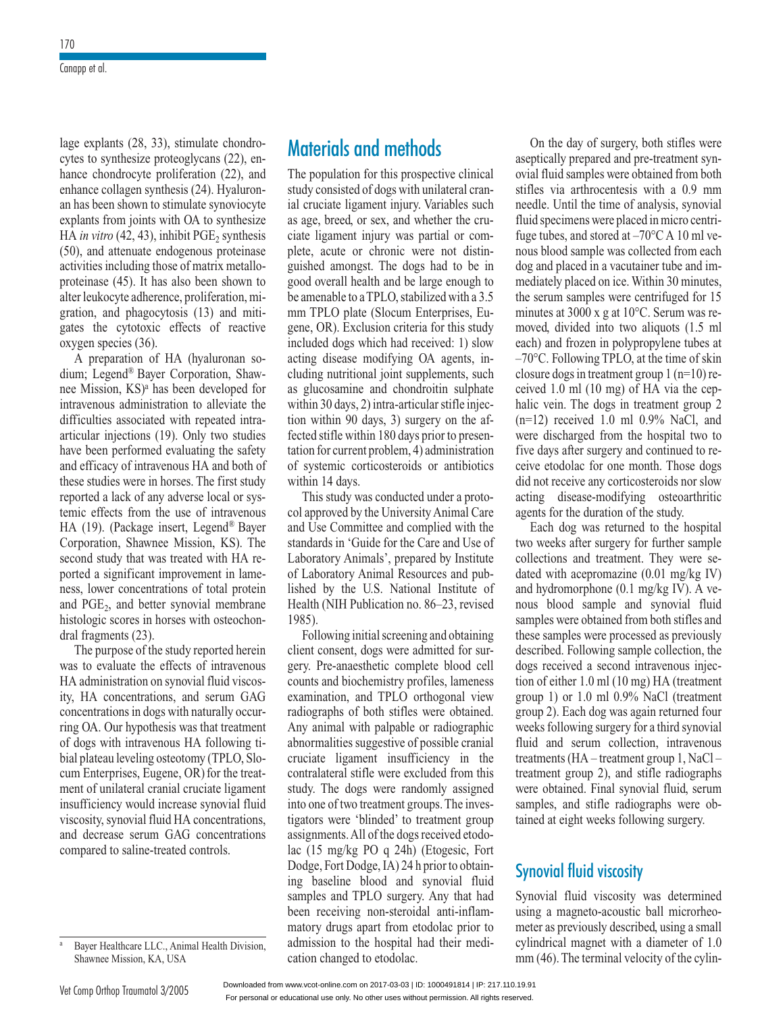$exp$  explants (28, 33), stimulate chondro-<br>s to synthesize proteoglycans (22), enlage explants (28, 33), stimulate chondro-<br>cytes to synthesize proteoglycans (22), en-<br>hance chondrocyte proliferation (22), and lage explants  $(28)$ cytes to synthesize proteoglycans (22), encytes to synthesize proteoglycans (22), en-<br>hance chondrocyte proliferation (22), and<br>enhance collagen synthesis (24). Hyaluron-<br>an has been shown to stimulate synoviocyte mance cholarocyte prometation  $(22)$ , and<br>enhance collagen synthesis (24). Hyaluron-<br>an has been shown to stimulate synoviocyte<br>explants from ioints with OA to synthesize an has been shown to stimulate synoviocyte ance collagen synthesis (24). Hyaluron-<br>as been shown to stimulate synoviocyte<br>lants from joints with OA to synthesize<br>*in vitro* (42, 43), inhibit PGE<sub>2</sub> synthesis an has been shown to stimulate synoviocyte<br>explants from joints with OA to synthesize<br>HA *in vitro* (42, 43), inhibit PGE<sub>2</sub> synthesis<br>(50), and attenuate endogenous proteinase HA in vitro  $(42, 43)$ , inhibit PGE, synthesis from joints with OA to synthesize *ro* (42, 43), inhibit  $PGE_2$  synthesis <br>attenuate endogenous proteinase including those of matrix metallo-HA *in vitro* (42, 43), inhibit PGE<sub>2</sub> synthesis (50), and attenuate endogenous proteinase activities including those of matrix metalloproteinase (45). It has also been shown to (50), and attenuate endogenous proteinase<br>activities including those of matrix metallo-<br>proteinase (45). It has also been shown to<br>alter leukocyte adherence, proliferation, miactivities including those of matrix metallo-<br>proteinase (45). It has also been shown to<br>alter leukocyte adherence, proliferation, mi-<br>gration, and phagocytosis (13) and mitiproteinase  $(45)$ . It has also been shown to  $(45)$ . It has also been shown to cyte adherence, proliferation, mind phagocytosis  $(13)$  and miticulation effects of reactive alter leukocyte adherence, proliferation, mi-Friemberg americally, profited and phagocytosis (13) and miti-<br>tion, and phagocytosis (13) and miti-<br>es the cytotoxic effects of reactive<br>ygen species (36).<br>A preparation of HA (hyaluronan sogates the cytotoxic effects of reactive oxygen species bayer effects of reactive<br>(36).<br>In of HA (hyaluronan so-<br>Baver Corporation, Shaw-

If preparation of  $HX$  (hydrational so-<br>dium; Legend<sup>®</sup> Bayer Corporation, Shaw-<br>nee Mission, KS)<sup>a</sup> has been developed for<br>intravenous administration to alleviate the  $\frac{1}{\text{ation}}$ <br> $\frac{d^{\circledR}}{\text{KS}}$ b).<br>
of HA (hyaluronan so-<br>
yer Corporation, Shaw-<br>
has been developed for mee Mission,  $KS$ <sup>a</sup> has been developed for intravenous administration to alleviate the difficulties associated with repeated intra-<br>articular injections (19). Only two studies difficulties associated with maxvenous administration to anevate the<br>difficulties associated with repeated intra-<br>articular injections (19). Only two studies<br>have been performed evaluating the safety difficulties associated with repeated intra-<br>articular injections (19). Only two studies<br>have been performed evaluating the safety<br>and efficacy of intravenous HA and both of nly two studies<br>tiing the safety<br>HA and both of<br>The first study performed evaluating the safety<br>cy of intravenous HA and both of<br>les were in horses. The first study<br>lack of any adverse local or sysand efficacy of intravenous HA and both of<br>these studies were in horses. The first study<br>reported a lack of any adverse local or sys-<br>temic effects from the use of intravenous messe staties were in horses. The<br>reported a lack of any adverse lo e studies were in horses. The first study<br>orted a lack of any adverse local or sys-<br>ic effects from the use of intravenous<br>(19). (Package insert, Legend® Bayer ntravenous<br>
end® Bayer<br>
KS). The temic effects from the use of intravenous 9). (Package insert, Legend® Bayer<br>ation, Shawnee Mission, KS). The<br>distudy that was treated with HA re-<br>a significant improvement in lame-Corporation, Shawnee Mission, KS). The  $\frac{1}{\sqrt{1-\frac{1}{n}}}\cos\theta$ ported a significant improvement in lame-2and was deaded with HY re-<br>cant improvement in lame-<br>centrations of total protein<br>better synovial membrane  $h$  is a significant improvement in hance-<br>ness, lower concentrations of total protein<br>and  $PGE_2$ , and better synovial membrane<br>histologic scores in horses with osteochonand  $PGE<sub>2</sub>$ , and better synovial membrane  $PGE<sub>2</sub>$ , and bett<br>ologic scores in<br>fragments (23).  $1 \text{ PGE}_2$ , and better synovial membrane<br>tologic scores in horses with osteochon-<br>il fragments (23).<br>The purpose of the study reported herein histologic scores in horses with osteochon-<br>dral fragments (23).<br>The purpose of the study reported herein<br>was to evaluate the effects of intravenous dral fragments  $(23)$ .

The purpose of the study reported herein<br>to evaluate the effects of intravenous<br>administration on synovial fluid viscos-The purpose of the study reported herein The parpose of the staty reported herein<br>was to evaluate the effects of intravenous<br>HA administration on synovial fluid viscos-<br>ity. HA concentrations, and serum GAG volumentation<br>vial fluid viscos-<br>naturally occur-HA administration on synovial fluid viscos-<br>ity, HA concentrations, and serum GAG<br>concentrations in dogs with naturally occur-<br>ring OA. Our hypothesis was that treatment concentrations in dogs with naturally occurof the concentrations, and setum orter-<br>neentrations in dogs with naturally occur-<br>lg OA. Our hypothesis was that treatment<br>dogs with intravenous HA following ticoncentrations in dogs with naturally occurring OA. Our hypothesis was that treatment<br>of dogs with intravenous HA following ti-<br>bial plateau leveling osteotomy (TPLO, Sloring OA. Our hyp bothesis was that treatment<br>
ravenous HA following ti-<br>
ing osteotomy (TPLO, Slo-<br>
Eugene, OR) for the treatof dogs with intravenous HA following ti-<br>bial plateau leveling osteotomy (TPLO, Slo-<br>cum Enterprises, Eugene, OR) for the treat-<br>ment of unilateral cranial cruciate ligament cum Enterprises, Eugene, OR) for the treatworm governing (11 EO, 510<br>ses, Eugene, OR) for the treat-<br>teral cranial cruciate ligament<br>would increase synovial fluid vani  $L$ inc prises, Eugene, OK) for the treat-<br>inilateral cranial cruciate ligament<br>mey would increase synovial fluid<br>synovial fluid HA concentrations. ment of unilateral cranial cruciate ligament<br>insufficiency would increase synovial fluid<br>viscosity, synovial fluid HA concentrations,<br>and decrease serum GAG concentrations insufficiency would increa viscosity, synovial fluid HA concentrations,<br>and decrease serum GAG concentrations<br>compared to saline-treated controls.

# methods **Materials and methods**<br>The population for this prospective clinical

**Materials and methods**<br>The population for this prospective clinical<br>study consisted of dogs with unilateral cran-The population for this prospective clinical pective clinical<br>unilateral cran-<br>Variables such The population for this prospective clinical<br>study consisted of dogs with unilateral cran-<br>ial cruciate ligament injury. Variables such<br>as age, breed, or sex, and whether the crustudy consisted of dogs with unilateral cran-<br>ial cruciate ligament injury. Variables such<br>as age, breed, or sex, and whether the cru-<br>ciate ligament injury was partial or comial cruciate ligament injury. Variables such d, or sex, and whether the crunting was partial or comported to the dogs had to be in as age, breed, or sex, and whether the cruciate ligament injury was partial or com-<br>plete, acute or chronic were not distin-<br>guished amongst. The dogs had to be in<br>good overall health and be large enough to guished amongst. The dogs had to be in ete, acute or chronic were not distin-<br>ished amongst. The dogs had to be in<br>od overall health and be large enough to<br>amenable to a TPLO, stabilized with a 3.5 gaished amongst. The dogs had to be in<br>good overall health and be large enough to<br>be amenable to a TPLO, stabilized with a 3.5<br>mm TPLO plate (Slocum Enterprises, Eu-Il health and be large enough to<br>e to a TPLO, stabilized with a 3.5<br>plate (Slocum Enterprises, Eu-<br>Exclusion criteria for this study be amenable to a TPLO, stabilized with a 3.5 O, stabilized with a 3.5<br>
bocum Enterprises, Eu-<br>
a criteria for this study<br>
had received: 1) slow mm TPLO plate (Slocum Enterprises, Eugene, OR). Exclusion criteria for this study<br>included dogs which had received: 1) slow<br>acting disease modifying OA agents. inincluded dogs which had received: 1) slow nutritional include the supplements.<br>
I dogs which had received: 1) slow<br>
disease modifying OA agents, in-<br>
nutritional ioint supplements, such included dogs which had received: 1) slow<br>acting disease modifying OA agents, in-<br>cluding nutritional joint supplements, such<br>as glucosamine and chondroitin sulphate acting disease cluding nutritional joint supplements, such cluding nutritional joint supplements, such<br>as glucosamine and chondroitin sulphate<br>within 30 days, 2) intra-articular stifle injec-<br>tion within 90 days, 3) surgery on the afwithin 30 days,  $2$ ) intra-articular stifle injeccosamine and chondroitin sulphate<br>30 days, 2) intra-articular stifle injec-<br>ithin 90 days, 3) surgery on the af-<br>stifle within 180 days prior to presenwithin 30 days, 2) intra-articular stifle injection within 90 days, 3) surgery on the af-<br>fected stifle within 180 days prior to presen-<br>tation for current problem. 4) administration fected stifle within 180 days prior to presensy suggery on the unit<br>ted stifle within 180 days prior to presen-<br>ion for current problem, 4) administration<br>systemic corticosteroids or antibiotics reced since whilm 160 days prior to presentation<br>tation for current problem, 4) administration<br>of systemic corticosteroids or antibiotics<br>within 14 days.<br>This study was conducted under a protorelation for current pro<br>of systemic cortic osteroids or antibiotics<br>onducted under a proto-<br>University Animal Care within 14 days.

4 days.<br>Study was conducted under a proto-<br>oved by the University Animal Care<br>Committee and complied with the This study was conducted under a proto-<br>col approved by the University Animal Care<br>and Use Committee and complied with the<br>standards in 'Guide for the Care and Use of col approved by the University Animal Care<br>and Use Committee and complied with the standards in 'Guide for the Care and Use of d Use Committee and complied with the<br>andards in 'Guide for the Care and Use of<br>aboratory Animals', prepared by Institute<br>Laboratory Animal Resources and publishedby Animals', prepared by Institute<br>boratory Animal Resources and pub-<br>by the U.S. National Institute of  $1.6 \text{ T}$ tory Animals', prepared by Institute<br>oratory Animal Resources and pub-<br>by the U.S. National Institute of<br>(NIH Publication no. 86–23, revised 01 Lac<br>11. 1. 1 ed by the U.S. National Institute of<br>alth (NIH Publication no. 86–23, revised<br>85).<br>Following initial screening and obtaining  $1985$ ). h (NIH Publication no. 86–23, revised<br>lowing initial screening and obtaining<br>consent, dogs were admitted for sur-1985).<br>Fellowing initial computing and chtaining

client consent, do lowing initial screening and obtaining<br>consent, dogs were admitted for sur-<br>Pre-anaesthetic complete blood cell<br>and biochemistry profiles, lameness gs were admitted for sur-<br>etic complete blood cell<br>mistry profiles, lameness<br>TPLO orthogonal view  $g_{\text{crys}}$  is not and  $h$ naesthetic complete blood cell<br>biochemistry profiles, lameness<br>i, and TPLO orthogonal view<br>of both stifles were obtained. biochemistry profiles, lameness<br>i, and TPLO orthogonal view<br>of both stifles were obtained.<br>with palpable or radiographic radiographs of both stifles were obtained. and TPLO orthogonal view<br>f both stifles were obtained.<br>with palpable or radiographic<br>suggestive of possible cranial radiographs of boat stries were columned.<br>Any animal with palpable or radiographic<br>abnormalities suggestive of possible cranial<br>cruciate ligament insufficiency in the<br>contralateral stifle were excluded from this contralation<br>abnormalitie ies suggestive of possible cranial<br>igament insufficiency in the<br>al stifle were excluded from this<br>dogs were randomly assigned cruciate ligament insufficiency in the<br>contralateral stifle were excluded from this iate ligament insufficiency in the ralateral stifle were excluded from this y. The dogs were randomly assigned one of two treatment groups. The invesstudy. The dogs were randomly assigned<br>into one of two treatment groups. The inves-<br>tigators were 'blinded' to treatment group solve the randomly assigned<br>the dogsreat provided to the dogsree<br>of the dogsree etodointo one of two treatment groups. The invese of two treatment groups. The inves-<br>were 'blinded' to treatment group<br>nents. All of the dogs received etodo-<br>mg/kg PO q 24h) (Etogesic, Fort tigators were 'blinded' to treatment group<br>assignments. All of the dogs received etodo-<br>lac (15 mg/kg PO q 24h) (Etogesic, Fort<br>Dodge, Fort Dodge, IA) 24 h prior to obtainlac  $(15 \text{ mg/kg PO q } 24\text{h})$  (Etogesic, Fort ignments. All of the dogs received etodo-<br>(15 mg/kg PO q 24h) (Etogesic, Fort<br>dge, Fort Dodge, IA) 24 h prior to obtain-<br>baseline blood and synovial fluid lac (15 mg/kg PO q 24h) (Etogesic, Fort<br>Dodge, Fort Dodge, IA) 24 h prior to obtain-<br>ing baseline blood and synovial fluid<br>samples and TPLO surgery. Any that had Dodge, Fort Dodge, IA) 24 h prior to obtain-<br>ing baseline blood and synovial fluid<br>samples and TPLO surgery. Any that had<br>been receiving non-steroidal anti-inflaming baseline blood and synovial fluid<br>samples and TPLO surgery. Any that had blood and synovial fluid<br>TPLO surgery. Any that had<br>g non-steroidal anti-inflam-<br>apart from etodolac prior to samples and TPLO surgery. Any that had<br>been receiving non-steroidal anti-inflam-<br>matory drugs apart from etodolac prior to<br>admission to the hospital had their medibeen receiving non-steroid<br>matory drugs apart from e<br>admission to the hospital l<br>cation changed to etodolac.

 the day of surgery, both stifles were day of surgery, both stifles were<br>prepared and pre-treatment syn-On the day of surgery, both stifles were<br>aseptically prepared and pre-treatment syn-<br>ovial fluid samples were obtained from both On the  $\frac{1}{2}$ day of surgery, both stifles were<br>prepared and pre-treatment syn-<br>samples were obtained from both<br>arthrocentesis with a 0.9 mm aseptically prepared and pre-treatment synthe state of analysis, synovial time of analysis, synovial form that samples were columned from both<br>stifles via arthrocentesis with a 0.9 mm<br>needle. Until the time of analysis, synovial<br>fluid specimens were placed in micro centrineedle. Until the time of analysis, synovial these via arthrocentesis with a 0.9 mm<br>le. Until the time of analysis, synovial<br>specimens were placed in micro centri-<br>tubes, and stored at  $-70^{\circ}$ C A 10 ml veneedle. Until the time of analysis, synovial<br>fluid specimens were placed in micro centri-<br>fuge tubes, and stored at  $-70^{\circ}$ C A 10 ml ve-<br>nous blood sample was collected from each fluid spe $\frac{1}{2}$ eximent were placed in micro centri-<br>es, and stored at  $-70^{\circ}$ C A 10 ml ve-<br>ood sample was collected from each<br>placed in a vacutainer tube and imfuge tubes, and stored at  $-70^{\circ}$ C A 10 ml venous blood sample was collected from each dog and placed in a vacutainer tube and im-<br>mediately placed on ice. Within 30 minutes. dog and placed in a vacutainer tube and imis blood sample was collected from each<br>g and placed in a vacutainer tube and im-<br>diately placed on ice. Within 30 minutes,<br>serum samples were centrifuged for 15 dog and placed in a vacutainer tube and im-<br>mediately placed on ice. Within 30 minutes,<br>the serum samples were centrifuged for 15<br>minutes at 3000 x g at  $10^{\circ}$ C. Serum was re- $\frac{1}{2}$  the serum bely placed on ice. Within 30 minutes,<br>um samples were centrifuged for 15<br>s at 3000 x g at 10 $^{\circ}$ C. Serum was re-<br>divided into two aliguots (1.5 ml samples were centrifuged for 15<br>frozo x g at 10 $^{\circ}$ C. Serum was re-<br>vided into two aliquots (1.5 ml<br>frozen in polypropylene tubes at moved, divided into two aliquots (1.5 ml) s at 3000 x g at 10 $^{\circ}$ C. Serum was redivided into two aliquots (1.5 ml<br>nd frozen in polypropylene tubes at<br>Following TPLO, at the time of skin  $\frac{1}{200}$  and  $\frac{700}{200}$ divided into two aliquots  $(1.5 \text{ ml})$ <br>nd frozen in polypropylene tubes at<br>Following TPLO, at the time of skin<br>dogs in treatment group  $1 \text{ (n=10)}$  refrozen in polypropylene tubes at<br>lowing TPLO, at the time of skin<br>gs in treatment group  $1 (n=10)$  re-<br>ml  $(10 \text{ mg})$  of HA via the cep- $-70^{\circ}$ C. Fol closure dogs in treatment group  $1$  (n=10) reclosure dogs in treatment group 1 (n=10) received 1.0 ml (10 mg) of HA via the cephalic vein. The dogs in treatment group 2 (n=12) received 1.0 ml  $0.9\%$  NaCl, and halic vein. The dogs in treatment group 2 d 1.0 ml (10 mg) of HA via the cep-<br>vein. The dogs in treatment group 2<br>2) received 1.0 ml  $0.9\%$  NaCl, and<br>discharged from the hospital two to halic vein. The dogs in treatment group 2  $(n=12)$  received 1.0 ml 0.9% NaCl, and were discharged from the hospital two to five days after surgery and continued to rewere discharged from the hospital two to 2) received 1.0 ml 0.9% NaCl, and<br>discharged from the hospital two to<br>lays after surgery and continued to re-<br>etodolac for one month. Those dogs were discharged from the hospital two to<br>five days after surgery and continued to re-<br>ceive etodolac for one month. Those dogs<br>did not receive any corticosteroids nor slow ceive etodolac for one month. Those dogs disease-modifying order of the<br>etodolac for one month. Those dogs<br>t receive any corticosteroids nor slow<br>disease-modifying osteoarthritic  $4:1...$ exercible for one month. Tho<br>t receive any corticosteroids r<br>disease-modifying osteos<br>for the duration of the study. I not receive any corticosteroids nor slow<br>ing disease-modifying osteoarthritic<br>ents for the duration of the study.<br>Each dog was returned to the hospital acting disease-modifying osteoarthritic<br>agents for the duration of the study.<br>Each dog was returned to the hospital<br>two weeks after surgery for further sample agents for the duration of the study.

Each dog was returned to the hospital  $\frac{d}{dx}$  was reduced to the surgent surgent to the surgent to the surgent to the surgent to the surgent to the surgent to the surgent to the surgent to the surgent to the surgent to the surgent to the surgent to the surg collections and treatment. They were se-(ery for further sample<br>tment. They were se-<br>azine  $(0.01 \text{ mg/kg IV})$ .<br> $(0.1 \text{ mg/kg IV})$ . A vedated with acepromazine  $(0.01 \text{ mg/kg} \text{ IV})$ ctions and treatment. They were se-<br>l with acepromazine (0.01 mg/kg IV)<br>nydromorphone (0.1 mg/kg IV). A ve-<br>blood sample and synovial fluid dated with acepromazine (0.01 mg/kg IV)<br>and hydromorphone (0.1 mg/kg IV). A ve-<br>nous blood sample and synovial fluid<br>samples were obtained from both stifles and and hydromor  $\frac{1}{2}$  and synovial fluid<br>of sample and synovial fluid<br>ere obtained from both stifles and<br>les were processed as previously<br>Following sample collection, the described. Supplemental synovial ridid<br>samples were obtained from both stifles and<br>these samples were processed as previously<br>described. Following sample collection, the<br>dogs received a second intravenous iniecthese samples were processed as previously described. Following sample collection, the e samples were processed as previously<br>ribed. Following sample collection, the<br>s received a second intravenous injec-<br>of either 1.0 ml (10 mg) HA (treatment described. Following sample collection, the<br>dogs received a second intravenous injec-<br>tion of either 1.0 ml (10 mg) HA (treatment<br>group 1) or 1.0 ml 0.9% NaCl (treatment  $\frac{u}{\sinh u}$  following for  $\frac{u}{\sinh u}$ received a second intravenous injections in the either 1.0 ml (10 mg) HA (treatment<br>1) or 1.0 ml 0.9% NaCl (treatment<br>2). Each dog was again returned four ml (10 mg) HA (treatment<br>ml 0.9% NaCl (treatment<br>log was again returned four<br>surgery for a third synovial group 2). Each dog was again returned four p 1) or 1.0 ml 0.9% NaCl (treatment<br>p 2). Each dog was again returned four<br>s following surgery for a third synovial<br>and serum collection, intravenous treatments (HA–treatment group 1, NaCl –<br>treatments (HA–treatment group 1, NaCl – fluid and serum collection, intravenous lowing surgery for a third synovial<br>d serum collection, intravenous<br>s (HA – treatment group 1, NaCl –<br>group 2), and stifle radiographs fluid and serum collection, intravenous<br>treatments (HA – treatment group 1, NaCl –<br>treatment group 2), and stifle radiographs<br>were obtained. Final synovial fluid, serum treatments (H strike radiation group 1, two-<br>up 2), and stifle radiographs<br>i. Final synovial fluid, serum<br>stifle radiographs were obtreatment group 2), and stifle radiographs radiografi<br>fluid, ser<br>is were<br>surgery. samples, and stifle radiographs were obwere ootamed. Final syno<br>samples, and stifle radiog<br>tained at eight weeks follov<br>Synovial fluid viscosity

#### SynovialSynovial hold vi<br>Semestel (Setting)

**I** fluid viscosity<br>fluid viscosity was determined **is vial fluid viscosity**<br>
vial fluid viscosity was determined<br>
a magneto-acoustic ball microrheocosity was determined<br>coustic ball microrheo-<br>described, using a small Synovial fluid viscosity was determined<br>using a magneto-acoustic ball microrheo-<br>meter as previously described, using a small<br>cylindrical magnet with a diameter of 1.0 using a magneto-acoustic ball microrheo-<br>meter as previously described, using a small<br>cylindrical magnet with a diameter of 1.0<br>mm (46). The terminal velocity of the cylin-

 $\frac{1}{\sqrt{2\pi}}$  Bayer Healthcare LLC., Animal Health Division, Shawnee Mission, KA, USA<br>Vet Comp Orthop Traumatol 3/2005 ealthcare LLC., Anir<br>Mission, KA, USA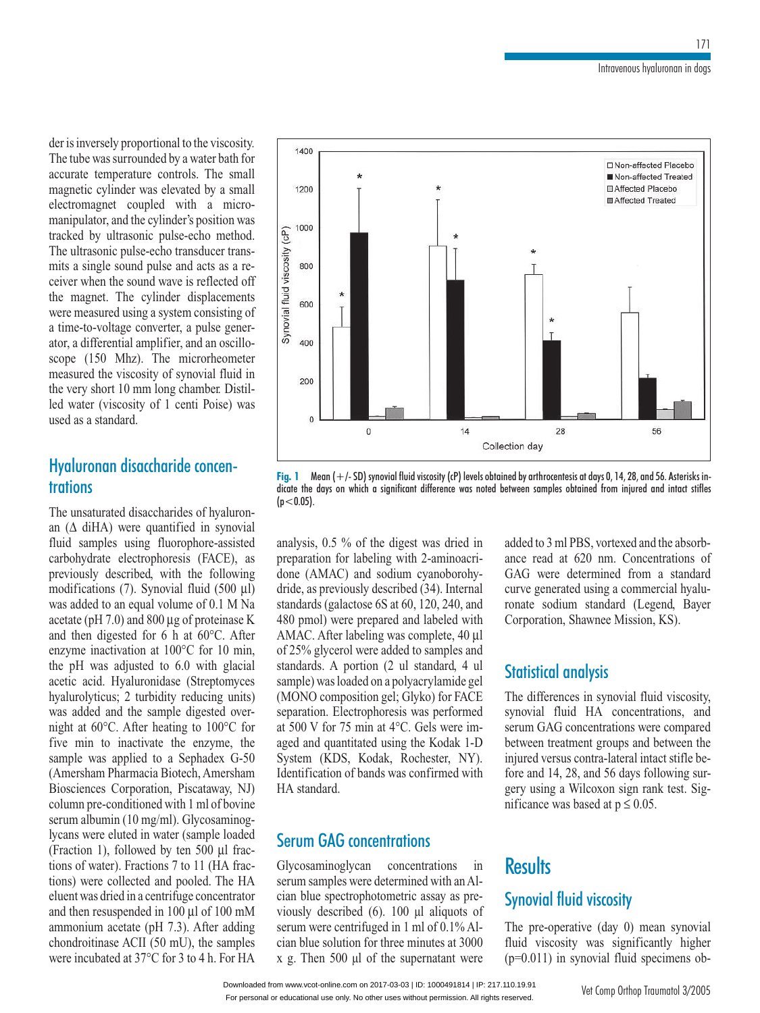isinversely proportional to the viscosity*.* ersely proportional to the viscosity.<br>was surrounded by a water bath for accuratethe viscosity expected was surrounded by a water bath for temperature controls. The small der is inversely proportional to the viscosity.<br>The tube was surrounded by a water bath for<br>accurate temperature controls. The small<br>magnetic cylinder was elevated by a small The tube was surrounded by a water bath for bontrols. The small<br>levated by a small<br>with a microaccurate temperature controls. The small the cylinder's position. The small<br>transmission was<br>the cylinder's position was tragnetic cym manipulator, and the cylinder's position was coupled with a micro-<br>nd the cylinder's position was<br>rasonic pulse-echo method.<br>pulse-echo transducer transmanipulator, and the cylinder's position was<br>tracked by ultrasonic pulse-echo method.<br>The ultrasonic pulse-echo transducer trans-<br>mits a single sound pulse and acts as a retracked by ultr<br>Therefore when solutrasonic pulse-echo method.<br>
Eultrasonic pulse-echo transducer trans-<br>
solution as a single sound pulse and acts as a re-<br>
ver when the sound wave is reflected off<br>
magnet. The cylinder displacements mits a single sound pulse and acts as a remits a single sound pulse and acts as a receiver when the sound wave is reflected off<br>the magnet. The cylinder displacements<br>were measured using a system consisting of  $\frac{1}{2}$  the means  $\frac{1}{2}$ ound wave is reflected off<br>converter displacements<br>ing a system consisting of<br>converter, a pulse generthe magnet. The cylinder displacements displacements<br>m consisting of<br>a pulse gener-<br>and an oscillowere measured using a system consisting of<br>a time-to-voltage converter, a pulse gener-<br>ator, a differential amplifier, and an oscillo-<br>scope (150 Mhz). The microrheometer a time-to-voltage converter, a pulse generator, a differential amplifier, and an oscillorage converter, a pulse gener-<br>trial amplifier, and an oscillo-<br>Mhz). The microrheometer<br>viscosity of synovial fluid in the very short is a minimized amplifier, and an oscillo-<br>scope (150 Mhz). The microrheometer<br>measured the viscosity of synovial fluid in<br>the very short 10 mm long chamber. Distil- $\text{scope}$  (1 measured the viscosity of synovial fluid in<br>the very short 10 mm long chamber. Distil-<br>led water (viscosity of 1 centi Poise) was measured the visco<br>the very short 10 n<br>led water (viscosit<br>used as a standard. the very short  $10 \text{ mm}$  long characters the very short 10 mm long chamber. Distilled water (viscosity of 1 centi Poise) was<br>used as a standard.<br>**Hyaluronan disaccharide concen-trations**<br>The unsaturated disaccharides of hvaluronused as a standard.

# trations

**The set of start is also set of the start is start in start in synovial**  $(\Delta \text{ difA})$  were quantified in synovial The unsaturated disaccharides of hyaluronunsaturated disaccharides of hyaluron-<br>Δ diHA) were quantified in synovial samples using fluorophore-assisted The unsaturated disaccharides of hyaluron-<br>an  $(\Delta \text{ diHA})$  were quantified in synovial<br>fluid samples using fluorophore-assisted<br>carbohydrate electrophoresis (FACE), as an  $(\Delta \text{ diHA})$  were quantity  $\frac{d}{dx}$  and  $\frac{d}{dx}$  with the following<br>fluid samples using fluorophore-assisted<br>carbohydrate electrophoresis (FACE), as<br>previously described, with the following fluid samples using fluorophore-assisted trophoresis (FACE), as<br>trophoresis (FACE), as<br>sed, with the following<br>Synovial fluid (500 µl)<br>qual volume of 0.1 M Na  $previously$ described, with the following<br>ns (7). Synovial fluid (500  $\mu$ l)<br>o an equal volume of 0.1 M Na<br>7.0) and 800  $\mu$ g of proteinase K modifications  $(7)$ . Synovial fluid (500 µl)<br>
[ual volume of 0.1 M Na<br>
d 800 µg of proteinase K<br>
for 6 h at 60°C. After was added to an equal volume of 0.1 M Ku<br>acetate (pH 7.0) and 800 µg of proteinase K<br>and then digested for 6 h at 60°C. After<br>enzyme inactivation at 100°C for 10 min. acetate (pH 7.0) and 800  $\mu$ g of proteinase K<br>and then digested for 6 h at 60°C. After<br>enzyme inactivation at 100°C for 10 min,<br>the pH was adjusted to 6.0 with glacial enzyme inactivation at  $100^{\circ}$ C for 10 min, nen digested for 6 h at 60°C. After<br>he inactivation at 100°C for 10 min,<br>H was adjusted to 6.0 with glacial<br>acid. Hyaluronidase (Streptomyces enzyme inactivation at 100°C for 10 min,<br>the pH was adjusted to 6.0 with glacial<br>acetic acid. Hyaluronidase (Streptomyces<br>hyalurolyticus: 2 turbidity reducing units) the pH was ad relation of the sample digested over-<br>2 turbidity reducing units)<br>the sample digested overacetic acid. Hyaluronidase (Streptomyces<br>hyalurolyticus; 2 turbidity reducing units)<br>was added and the sample digested over-<br>night at 60°C. After heating to 100°C for hyalurolyticus; 2 turbidity reducing units)<br>was added and the sample digested over-<br>night at 60°C. After heating to 100°C for<br>five min to inactivate the enzyme, the might at  $60^{\circ}$ C. After heating to  $100^{\circ}$ C for ded and the sample digested over-<br>t  $60^{\circ}$ C. After heating to  $100^{\circ}$ C for<br>in to inactivate the enzyme, the<br>was applied to a Sephadex G-50 five min to inactivate the enzyme, the<br>sample was applied to a Sephadex G-50<br>(Amersham Pharmacia Biotech, Amersham<br>Biosciences Corporation, Piscataway, NJ) (Amersham Pharmacia Biotech, Amersham was applied to a Sephadex G-50<br>ham Pharmacia Biotech, Amersham<br>nces Corporation, Piscataway, NJ)<br>pre-conditioned with 1 ml of bovine (Amersham Pharmacia Biotech, Amersham<br>Biosciences Corporation, Piscataway, NJ)<br>column pre-conditioned with 1 ml of bovine<br>serum albumin (10 mg/ml). Glycosaminog-Biosciences Corporation, column pre-conditioned with 1 ml of bovine column pre-conditioned with 1 ml of bovine<br>serum albumin (10 mg/ml). Glycosaminog-<br>lycans were eluted in water (sample loaded<br>(Fraction 1), followed by ten 500 ul fracserum albumin lycans were eluted in water (sample loaded (Fraction 1), followed by ten 500  $\mu$ l fracs were eluted in water (sample loaded<br>ion 1), followed by ten 500 µl frac-<br>of water). Fractions 7 to 11 (HA frac-<br>were collected and pooled. The HA (Fraction 1), followed by ten 500  $\mu$ l fractions of water). Fractions 7 to 11 (HA fractions) were collected and pooled. The HA eluent was dried in a centrifuge concentrator tions of water). Fractions 7 t o 11 (HA frac-<br>boled. The HA<br>ge concentrator<br>ul of 100 mM tions) were collected and pooled. The HA<br>eluent was dried in a centrifuge concentrator<br>and then resuspended in 100 µl of 100 mM<br>ammonium acetate (pH 7.3). After adding educh was affect in a columnize concentrator<br>and then resuspended in 100 µl of 100 mM<br>ammonium acetate (pH 7.3). After adding<br>chondroitinase ACII (50 mU), the samples ammonium acetate (pH 7.3). After adding chondroitinase ACII (50 mU), the samples<br>were incubated at  $37^{\circ}$ C for 3 to 4 h. For HA



(p<0.05). not the digest was dried in the digest was dried in the digest was dried in dicate the days on which a significant difference was noted between samples obtained from injured and intact stifles

 $5\%$  of the digest was dried in for labeling with 2-aminoacrianalysis,  $0.5\%$  of analysis, 0.5 % of the digest was dried in<br>preparation for labeling with 2-aminoacri-<br>done (AMAC) and sodium cyanoborohydone (AMAC) and sodium cvanoborohyzyanoborohy-<br>(34). Internal<br>120, 240, and done (AMAC) and sodium cyanoborohy-<br>dride, as previously described (34). Internal<br>standards (galactose 6S at 60, 120, 240, and<br>480 pmol) were prepared and labeled with  $dride$ , as previously de scribed (34). Internal<br>S at 60, 120, 240, and<br>red and labeled with<br>was complete, 40 µl standards (galactose 6S at 60, 120, 240, and<br>480 pmol) were prepared and labeled with<br>AMAC. After labeling was complete, 40 µl<br>of 25% glycerol were added to samples and 480 pmol) were prepared and labeled with<br>AMAC. After labeling was complete, 40  $\mu$ l<br>of 25% glycerol were added to samples and<br>standards. A portion (2  $\mu$ l standard, 4  $\mu$ of 25% glycerol were added to samples and After labeling was complete,  $40 \mu$ l glycerol were added to samples and sls. A portion (2 ul standard, 4 ul was loaded on a polyacrylamide gel or 25% gryector were dided to samples and<br>standards. A portion (2 ul standard, 4 ul<br>sample) was loaded on a polyacrylamide gel<br>(MONO composition gel: Glyko) for FACE plamide gel<br>
(b) for FACE<br>
performed  $\frac{3a}{4}$ mple) was loaded on a polyacrylamide gel<br>MONO composition gel; Glyko) for FACE<br>paration. Electrophoresis was performed<br>500 V for 75 min at 4°C. Gels were im-(MONO composition gel; Glyko) for FACE<br>separation. Electrophoresis was performed<br>at 500 V for 75 min at 4°C. Gels were im-<br>aged and quantitated using the Kodak 1-D at 500 V for 75 min at  $4^{\circ}$ C. Gels were imon. Electrophoresis was performed<br>V for 75 min at 4°C. Gels were im-<br>d quantitated using the Kodak 1-D<br>(KDS, Kodak, Rochester, NY). aged and quantitated using the Kodak 1-D <sup>75</sup> min at <sup>4</sup>°C. Gels were im-<br>titated using the Kodak 1-D<br>S, Kodak, Rochester, NY).<br>of bands was confirmed with aged and qua<br>System (KD<br>Identification<br>HA standard. Identification of bands was confirmed with KDS, Kouak, Koche<br>Cation of bands was conf<br>dard.<br>**GAG concentrations** 

# **Serum GAG concentrations**<br>Glycosaminoglycan concentrations in

**Serum GAG concentrations**<br>Glycosaminoglycan concentrations in<br>serum samples were determined with an Al-Glycosaminogly can Glycosaminoglycan concentrations in<br>serum samples were determined with an Altermined with an Al-<br>metric assay as pre-<br>100 ul aliquots of serumsamples were determined with an Al-<br>lue spectrophotometric assay as pre-<br>y described (6). 100  $\mu$ l aliquots of<br>were centrifuged in 1 ml of 0.1% Alcian blue spectrophotometric assay as previously described (6).  $100 \mu l$  aliquots of serum were centrifuged in 1 ml of 0.1% Alcian blue solution for three minutes at 3000 viously descril serum were centrifuged in 1 ml of  $0.1\%$  Alcian blue solution for three minutes at 3000 x g. Then 500  $\mu$ l of the supernatant were

added to 3 ml PBS, vortexed and the absorbance read at 620 nm. Concentrations of d the absorb-<br>
a standard added to 3 ml PE S, vortexed and the absorb-<br>20 nm. Concentrations of<br>ermined from a standard<br>using a commercial hyalu-GAG were determined from read at 620 nm. Concentrations of<br>were determined from a standard<br>generated using a commercial hyalu-<br>sodium standard (Legend, Baver a sucker<br>reial<br>end,<br>KS). ronate sodium standard (Legend, Bayer

#### Statistical analysis The differences

**xlysis**<br>in synovial fluid viscosity, **Cal analysis**<br>erences in synovial fluid viscosity,<br>fluid HA concentrations, and The differences in synovial fluid viscosity,<br>synovial fluid HA concentrations, and<br>serum GAG concentrations were compared between the differences in synovial ridial viscors<br>synovial fluid HA concentrations, erences in synovial fluid viscosity,<br>fluid HA concentrations, and<br>AG concentrations were compared<br>treatment groups and between the serum GAG concentrations were compared between treatment groups and between the m GAG concentrations were compared<br>veen treatment groups and between the<br>red versus contra-lateral intact stifle be-<br>and 14, 28, and 56 days following surbetween treatment groups and between the<br>injured versus contra-lateral intact stifle be-<br>fore and 14, 28, and 56 days following sur-<br>gery using a Wilcoxon sign rank test. Siginjured versus gery using a Wilcoxon sign rank test. Significance was based at  $p \le 0.05$ . fore and 14, 28, and 56 days following sur-

### fluid viscosity **Results**  $\overline{a}$  pre-operative sym

fluid viscosity was significantly higher  $(p=0.011)$  in synovial fluid specimens ob-<br> $V_{\text{eff}}$  Vet Comp Orthop Traumatol 3/2005 **Examelity**<br>(day 0) mean synovial **build viscosity**<br>
pre-operative (day 0) mean synovial<br>
viscosity was significantly higher The pre-operative (day 0) mean synovial fluid viscosity was significantly higher  $(p=0.011)$  in synovial fluid specimens ob-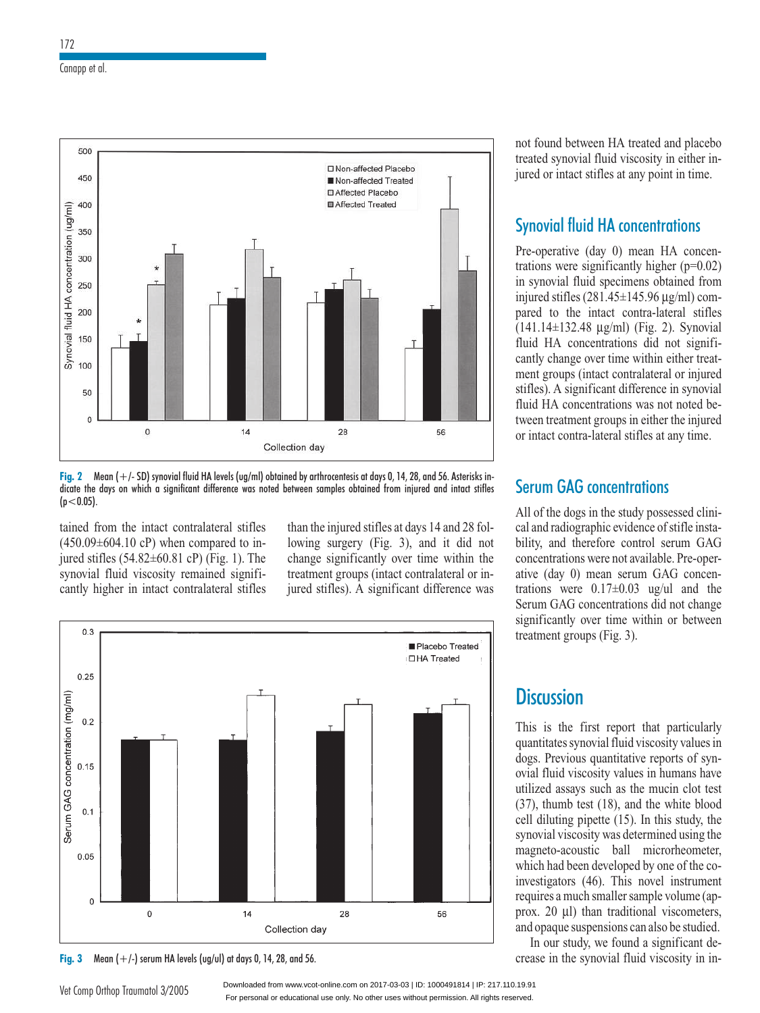



Fig. 2 mean (+/- SD) synovial fluid ria levels (ug/mi) obtained by arthrocentesis at days 0, 14, 28, and 50. Asterisks indicate the days on which a significant difference was noted between samples obtained from injured an  $(p<0.05)$ .

on which a significant difference was no<br>the intact contralateral stifles<br>4.10 cP) when compared to intained from the intact contralateral stifles  $(450.09\pm604.10 \text{ cP})$  when compared to in-<br>iured stifles  $(54.82\pm60.81 \text{ cP})$  (Fig. 1). The  $(450.09 \pm 604.$ jured stifles  $(54.82 \pm 60.81 \text{ cP})$  (Fig. 1). The synovial fluid viscosity remained significantly higher in intact contralateral stifles

surgery (Fig. 3), and it did not<br>surgery (Fig. 3), and it did not  $\epsilon$ e injured stifles at days 14 and 28 fol-<br>surgery (Fig. 3), and it did not<br>significantly over time within the lowing surgery (Fig. 3), and it did not quived stifles at days 14 and 28 fol-<br>urgery (Fig. 3), and it did not<br>gnificantly over time within the<br>groups (intact contralateral or inlowing surgery (Fig. 3), and it did not<br>change significantly over time within the<br>treatment groups (intact contralateral or in-<br>jured stifles). A significant difference was



For personal or educational use only. No other uses without permission. All rights reserved. Downloaded from www.vcot-online.com on 2017-03-03 | ID: 1000491814 | IP: 217.110.19.91

found between HA treated and placebo nd between HA treated and placebo<br>synovial fluid viscosity in either inmot found between HA treated and placet<br>treated synovial fluid viscosity in either is<br>jured or intact stifles at any point in time. treated synovial fluid viscosity in either inbetween HA treated and plat<br>novial fluid viscosity in eithe<br>tact stifles at any point in tin<br>fluid HA concentrations

## **Synovial fluid HA concentrations**<br>Pre-operative (day 0) mean HA concen-Synovial fluid HA concentrat

 $\frac{\text{cons}}{\text{concen}}$ <br>(p=0.02)  $Pre-operative$  (day 0) mean HA concentrations were significantly higher ( $p=0.02$ ) in synovial fluid specimens obtained from Pre-operative (day 0) mean For operative (any 0) mean TIY concentrations were significantly higher ( $p=0.02$ )<br>in synovial fluid specimens obtained from<br>injured stifles (281.45±145.96  $\mu$ g/ml) comin synovial fluid specimens obtained from injured stifles  $(281.45\pm145.96 \,\mathrm{kg/ml})$  com- $81.45\pm145.96 \,\mu g/ml$ ) com-<br>tact contra-lateral stifles<br> $\mu g/ml$ ) (Fig. 2). Synovial injured stifles  $(281.45\pm145.96 \,\mu\text{g/ml})$  compared to the intact contra-lateral stifles  $(141.14\pm132.48 \,\mu\text{g/ml})$  (Fig. 2). Synovial fluid HA concentrations did not signifipared to the<br> $(141, 141, 122)$ intact contra-lateral stifles<br> $48 \mu g/ml$  (Fig. 2). Synovial<br>neentrations did not signifi-<br>over time within either treat- $\lim_{x \to 0}$  $(141.14\pm132.48 \mu g/ml)$  (Fig. 2). Synovial fluid HA concentrations did not significantly change over time within either treatconcentrations did not signifi-<br>nge over time within either treat-<br>ps (intact contralateral or injured<br>significant difference in synovial cantly change over time within either treat-<br>ment groups (intact contralateral or injured<br>stifles). A significant difference in synovial<br>fluid HA concentrations was not noted bement groups (intact contralateral or injured<br>stifles). A significant difference in synovial<br>fluid HA concentrations was not noted be-<br>tween treatment groups in either the injured fluid HA concentrations was not noted befles). A significant difference in synovicial HA concentrations was not noted b<br>reen treatment groups in either the injure<br>intact contra-lateral stifles at any time. tween treatment groups in either the injured Thua HA concentrations was not<br>tween treatment groups in either<br>or intact contra-lateral stifles at a<br>**Serum GAG concentrations** 

# All of the

**Trum GAG concentrations**<br>
of the dogs in the study possessed clini-<br>
and radiographic evidence of stifle insta-Bottom GAC concentrations<br>All of the dogs in the study possessed clini-<br>cal and radiographic evidence of stifle insta-<br>bility, and therefore control serum GAG All of the dogs in the st First of the dogs in the starty possessed emi-<br>cal and radiographic evidence of stifle insta-<br>bility, and therefore control serum GAG<br>concentrations were not available. Pre-onerevidence of stifle insta-<br>control serum GAG<br>not available. Pre-oper-<br>serum GAG concenbility, and therefore conconcentrations were not available. Pre-oper- $\frac{1}{\pi}$  ative (day 0) mean se trations were not available. Pre-oper-<br>day 0) mean serum GAG concen-<br>s were 0.17±0.03 ug/ul and the<br>GAG concentrations did not change  $03 \text{ ug/u}$  and the<br>ions did not change<br>within or between Serum GAG c<br>significantly significantly over time within or between<br>treatment groups (Fig. 3).

## Discussion

**CUSSION**<br>is the first report that particularly eport that particularly<br>fluid viscosity values in This is the first report that particularly quantitates synovial fluid viscosity values in dogs. Previous quantitative reports of synis first report that particularly<br>visory values in<br>ious quantitative reports of syn-<br>viscosity values in humans have palantanes synovial rind viscosity values in<br>dogs. Previous quantitative reports of synovial fluid viscosity values in humans have<br>utilized assays such as the mucin clot test (37), and the pipet of the pipet the second pipet Frevious quantitative reports of syn-<br>fluid viscosity values in humans have<br>red assays such as the mucin clot test<br>thumb test (18), and the white blood values in humans have<br>as the mucin clot test<br>3), and the white blood<br>(15). In this study, the  $(37)$ , thumb test  $(18)$ , and the white blood<br> $(11)$  diletime pinette  $(15)$ . In this stake the utilized assays such as the mucin clot test (37), thumb test (18), and the white blood<br>cell diluting pipette (15). In this study, the<br>synovial viscosity was determined using the synovial viscosity was determined using the<br>magneto-acoustic ball microrheometer,<br>which had been developed by one of the co-<br>investigators (46). This novel instrument synovial viscosity was determined using the magneto-acoustic ball microrheometer,<br>which had been developed by one of the co-<br>investigators (46). This novel instrument<br>requires a much smaller sample volume (apwhich ha d been developed by one of the co-<br>tors (46). This novel instrument<br>a much smaller sample volume (ap-<br>ul) than traditional viscometers. investigators (46). This novel instrument s (10). This hover installer<br>uch smaller sample volume (ap-<br>1) than traditional viscometers,<br>suspensions can also be studied. prox. 20 µl) than traditional viscometers, res a much smaller sample volume (ap-<br>20  $\mu$ l) than traditional viscometers,<br>paque suspensions can also be studied.<br>our study, we found a significant deprox. 20 µ1) than traditional viscometers,<br>and opaque suspensions can also be studied.<br>In our study, we found a significant de-<br>crease in the synovial fluid viscosity in in-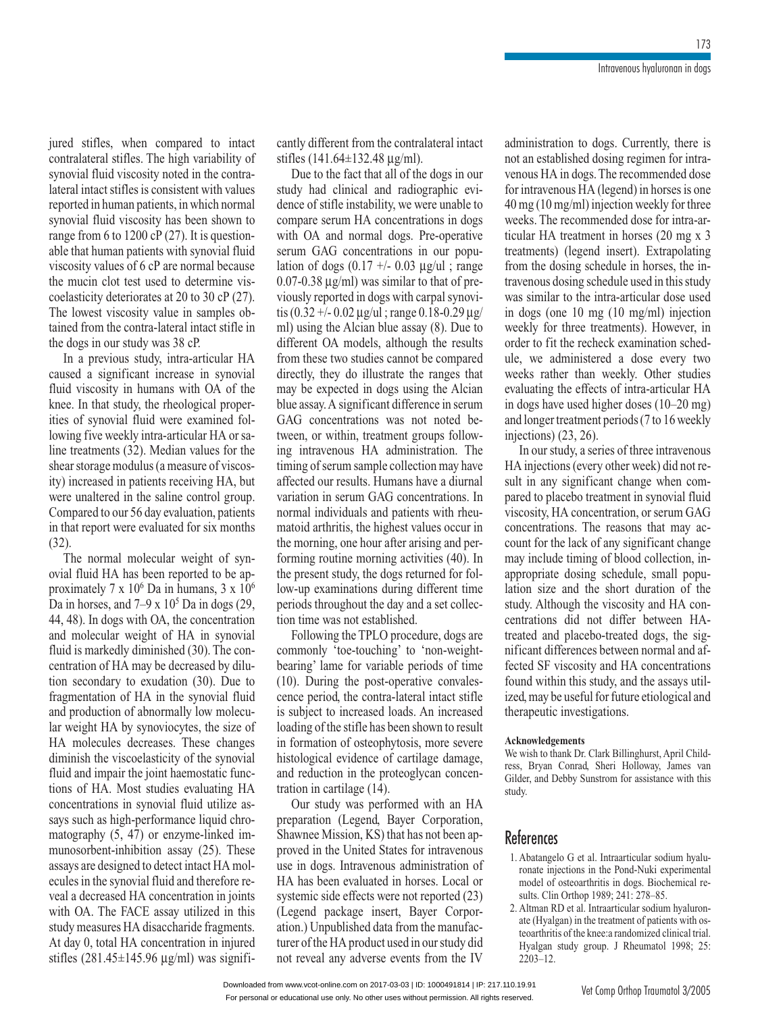stifles, when compared to intact s, when compared to intact<br>stifles. The high variability of jured stifles, when compared to intact<br>contralateral stifles. The high variability of<br>synovial fluid viscosity noted in the contrajured stifles, when compared contralateral stifles. The high variability of<br>synovial fluid viscosity noted in the contra-<br>lateral intact stifles is consistent with values<br>reported in human patients, in which normal lateral intact stifles is consistent with values synovial fluid viscosity noted in the contrareported in human patients, in which normal I intact stifles is consistent with values<br>ted in human patients, in which normal<br>ial fluid viscosity has been shown to<br>from 6 to 1200 cP (27). It is questionreported in human patients, in which normal<br>synovial fluid viscosity has been shown to<br>range from 6 to 1200 cP (27). It is question-<br>able that human patients with synovial fluid synovial fluid viscosity has been shown to<br>range from 6 to  $1200 \text{ cP}$  (27). It is question-<br>able that human patients with synovial fluid<br>viscosity values of 6 cP are normal because the deterministic deterministic statements with synovial fluid<br>viscosity values of 6 cP are normal because<br>the mucin clot test used to determine vis-<br>coelasticity deteriorates at 20 to 30 cP (27). range from 6 to 1200 cP  $(27)$ . It is questionviscosity values of 6 cP are normal because<br>the mucin clot test used to determine vis-<br>coelasticity deteriorates at 20 to 30 cP (27).<br>The lowest viscosity value in samples obthe mucin clot test used to determine vis-<br>coelasticity deteriorates at 20 to 30 cP (27).<br>The lowest viscosity value in samples ob-<br>tained from the contra-lateral intact stifle in The lowest viscosity value in samples obcoelasticity deteriorates at 20 to 30 cP  $(27)$ . tained from the contra-lateral intact stifle in owest viscosity value in samples ob-<br>d from the contra-lateral intact stifle in<br>ggs in our study was 38 cP.<br>a previous study, intra-articular HA camea<br>caneed

from the contra-lateral intact stifle in<br>  $\frac{1}{1}$  significant increase in synovial<br>
a significant increase in synovial  $\frac{1}{\tau}$ viscosity in the study was 38 cP.<br>
viscosity in the anticolar HA<br>
viscosity in humans with OA of the In a previous study, intra-articular HA<br>caused a significant increase in synovial<br>fluid viscosity in humans with OA of the<br>knee. In that study, the rheological propercaused a signifi cant increase in synovial<br>a humans with OA of the<br>dy, the rheological proper-<br>fluid were examined folknee. In that study, the rheological properfive is isosity in humans with OA of the<br>in that study, the rheological proper-<br>is ynovial fluid were examined fol-<br>five weekly intra-articular HA or saities of synovial fluid were examined fol-E. In that study, the rheological proper-<br>
i of synovial fluid were examined fol-<br>
ing five weekly intra-articular HA or sa-<br>
treatments  $(32)$ . Median values for the  $\frac{1}{2}$   $\frac{1}{2}$   $\frac{1}{2}$   $\frac{1}{2}$   $\frac{1}{2}$   $\frac{1}{2}$   $\frac{1}{2}$   $\frac{1}{2}$ man man were examined for<br>reekly intra-articular HA or sa-<br>ts (32). Median values for the<br>modulus (a measure of viscoslowing five weekly intra-articular HA or sa-<br>line treatments (32). Median values for the<br>shear storage modulus (a measure of viscos-<br>ity) increased in patients receiving HA, but shear storage mo reatments (32). Median values for the<br>
storage modulus (a measure of viscos-<br>
ncreased in patients receiving HA, but<br>
unaltered in the saline control group. dulus (a measure of viscos-<br>patients receiving HA, but<br>1 the saline control group.<br>56 day evaluation, patients were unaltered in the saline control group.  $\alpha$ ) increased in patients receiving HA, but<br>report were unaltered in the saline control group.<br>ompared to our 56 day evaluation, patients<br>that report were evaluated for six months (32).<br>Compared to our 56 day evaluation, patients<br>in that report were evaluated for six months<br>(32).<br>The normal molecular weight of synin that report were evaluated for six months  $(32)$ .

ort were evaluated for six months<br>frmal molecular weight of syn-<br>HA has been reported to be an-The normal molecular weight of syn- $\sim$  Da III IIUIIIaiis,  $\sigma$  x TO Elecular weight of synstance reported to be applement of the  $\theta$  in humans, 3 x 10<sup>o</sup>  $\frac{1}{2}$  ovial fluid HA has been represented  $\frac{7}{2}$  = 106.  $\frac{1}{2}$  in 1 The normal molecular weight of syn-<br>al fluid HA has been reported to be ap-<br>ximately  $7 \times 10^6$  Da in humans,  $3 \times 10^6$ <br>in horses, and  $7-9 \times 10^5$  Da in dogs (29,<br>48). In dogs with OA, the concentration proximately  $7$ : Da in horses, and  $7-9 \times 10^5$  Da in dogs (29, 44, 48). In dogs with OA, the concentration is markedly diminished (30). The con-<br>is markedly diminished (30). The con-44, 48). In dogs with OA, the concentration<br>and molecular weight of HA in synovial<br>fluid is markedly diminished (30). The con-<br>centration of HA may be decreased by diluanu<br>n... secondary weight of THX in synovial<br>is markedly diminished (30). The con-<br>ration of HA may be decreased by dilu-<br>secondary to exudation (30). Due to Fragmentation of HA may be decreased by dilu-<br>tion secondary to exudation (30). Due to<br>fragmentation of HA in the synovial fluid<br>and production of abnormally low molecution secondary to exudation  $(30)$ . Due to dary to exudation (30). Due to<br>tion of HA in the synovial fluid<br>tion of abnormally low molecu-<br>HA by synoviocytes, the size of and production of abnormally low molecumentation of HA in the synovial fluid<br>production of abnormally low molecu-<br>weight HA by synoviocytes, the size of<br>molecules decreases. These changes In the visible of the visible with the viscoelar weight HA by synoviocytes, the size of HA molecules decreases. These changes diminish the viscoelasticity of the synovial fluid and impair the joint haemostatic funcfluit weight<br>HA. molecul es decreases. These changes<br>viscoelasticity of the synovial<br>air the joint haemostatic func-<br>Most studies evaluating HA diminish the viseochastery of the synovial fluid and impair the joint haemostatic functions of HA. Most studies evaluating HA concentrations in synovial fluid utilize as-<br>says such as high-performance liquid chrotions of HA. Most studies evaluating HA tions of HA. Most studies evaluating HA<br>concentrations in synovial fluid utilize as-<br>says such as high-performance liquid chro-<br>matography (5, 47) or enzyme-linked imconcentrations in synovial fluid util read chro-<br>d chro-<br>These says such as high-performance liquid chro-<br>matography (5, 47) or enzyme-linked im-<br>munosorbent-inhibition assay (25). These<br>assays are designed to detect intact HA molmatography (5, 47) or enzyme-linked im-<br>munosorbent-inhibition assay (25). These<br>assays are designed to detect intact HA mol-<br>ecules in the synovial fluid and therefore remunosorbent-inhibition assay (25). These<br>assays are designed to detect intact HA mol-<br>ecules in the synovial fluid and therefore re-<br>veal a decreased HA concentration in joints ecules in the synovial fluid and therefore re-Solve are designed to detect intact HA mol-<br>
Solve in the synovial fluid and therefore re-<br>
a decreased HA concentration in joints<br>
OA. The FACE assay utilized in this veal a decreased HA concentration in joints is in the synovial fluid and therefore re-<br>decreased HA concentration in joints<br>OA. The FACE assay utilized in this<br>measures HA disaccharide fragments. veal a decreased HA concentration in joints<br>with OA. The FACE assay utilized in this<br>study measures HA disaccharide fragments.<br>At day 0, total HA concentration in injured with OA. The FACE assay utilized in this<br>study measures HA disaccharide fragments.<br>At day 0, total HA concentration in injured<br>stifles (281.45±145.96 µg/ml) was signifi-

 from the contralateral intact e contra<br>ug/ml). the different from the contralateral intact<br>des (141.64±132.48  $\mu$ g/ml).<br>Due to the fact that all of the dogs in our stifles  $(141.64)$ *r* different from the contralateral intact<br>is (141.64±132.48  $\mu$ g/ml).<br>ie to the fact that all of the dogs in our<br>had clinical and radiographic evi-

 $\pm$ 132.48  $\mu$ g/ml).<br>fact that all of the dogs in our<br>nical and radiographic evi-<br>instability, we were unable to Due to the fact that all of the dogs in our<br>study had clinical and radiographic evi-<br>dence of stifle instability, we were unable to<br>compare serum HA concentrations in dogs study had clinical and radiographic evi-<br>dence of stifle instability, we were unable to<br>compare serum HA concentrations in dogs<br>with OA and normal dogs. Pre-operative dence of stifle instability, we were unable to<br>compare serum HA concentrations in dogs<br>with OA and normal dogs. Pre-operative<br>serum GAG concentrations in our popuwith OA and normal dogs. Pre-operative are serum HA concentrations in dogs<br>OA and normal dogs. Pre-operative<br> $\overline{GAG}$  concentrations in our popu-<br>of dogs  $(0.17 +/- 0.03 \text{ ug/ul)}$ ; range with OA and normal dogs. Pre-operative<br>serum GAG concentrations in our popu-<br>lation of dogs  $(0.17 +/- 0.03 \mu g/u)$ ; range<br> $0.07 - 0.38 \mu g/ml)$  was similar to that of preserum GAG concentrations in our population of dogs  $(0.17 +/- 0.03 \mu g/ul)$ ; range 0.07-0.38  $\mu g/ml$ ) was similar to that of previously reported in dogs with carpal synovilation of dogs  $(0.17 +/- 0.03 \mu g/ul)$ ; range 0.07-0.38  $\mu g/ml$ ) was similar to that of previously reported in dogs with carpal synovitis  $(0.32 +/- 0.02 \mu g/ul)$ : range 0.18-0.29  $\mu g/$  $0.07$ -0.38  $\mu$ g/ml) was similar to that of previously reported in dogs with carpal synovi- $\mu$ g/ml) was similar to that of pre-<br>ported in dogs with carpal synovi-<br>/- 0.02  $\mu$ g/ul ; range 0.18-0.29  $\mu$ g/<br>the Alcian blue assay (8). Due to viously reported in dogs with carpal synovitis  $(0.32 +/-0.02 \mu g/u)$ ; range  $0.18-0.29 \mu g/m$ ]) using the Alcian blue assay (8). Due to different OA models, although the results tis  $(0.32 +/- 0.02 \mu g/u)$ ; range 0.18-0.29  $\mu g/m$ ) using the Alcian blue assay (8). Due to different OA models, although the results from these two studies cannot be compared ml) using the Alcian blue assay  $(8)$ . Due to the range of the ranges of the results<br>different OA models, although the results<br>from these two studies cannot be compared<br>directly, they do illustrate the ranges that from these two studies cannot be compared from these two studies cannot be compared<br>directly, they do illustrate the ranges that<br>may be expected in dogs using the Alcian<br>blue assay. A significant difference in serum directly, they do illustrate may be expected in dogs using the Alcian<br>hue assay. A significant difference in serum<br>GAG concentrations was not noted bee assay. A significant difference in serum<br>G concentrations was not noted be-<br>en, or within, treatment groups follow-<br>intravenous HA administration. The GAG concentrations was not noted between, or within, treatment groups followconcentrations was not noted be-<br>or within, treatment groups follow-<br>travenous HA administration. The<br>of serum sample collection may have  $\frac{1}{2}$ our within, treatment groups follow-<br>avenous HA administration. The<br>f serum sample collection may have<br>our results. Humans have a diurnal ing intravenous HA administration. The<br>timing of serum sample collection may have<br>affected our results. Humans have a diurnal<br>variation in serum GAG concentrations. In timing of serum sample collection may have<br>affected our results. Humans have a diurnal<br>variation in serum GAG concentrations. In<br>normal individuals and patients with rheuaffected our results. Humans have a diurnal<br>variation in serum GAG concentrations. In d our results. Humans have a diurnal<br>on in serum GAG concentrations. In<br>individuals and patients with rheu-<br>arthritis, the highest values occur in variation in serum GAG concentrations. In<br>normal individuals and patients with rheu-<br>matoid arthritis, the highest values occur in<br>the morning, one hour after arising and performal individuals and patients with rheu-<br>matoid arthritis, the highest values occur in<br>the morning, one hour after arising and per-<br>forming routine morning activities (40). In the morning, one hour after arising and pertoid arthritis, the highest values occur in<br>morning, one hour after arising and per-<br>ming routine morning activities (40). In<br>present study, the dogs returned for folforming routine morning activities (40). In ring, one hour after arising and per-<br>g routine morning activities (40). In<br>sent study, the dogs returned for fol-<br>examinations during different time forming routine morning activities (40). In<br>the present study, the dogs returned for fol-<br>low-up examinations during different time<br>periods throughout the day and a set collecthe present study, the dogs ret<br>low-up examinations during<br>periods throughout the day an<br>tion time was not established. Following different time<br>Following the day and a set collec-<br>In time was not established.<br>Following the TPLO procedure, dogs are  $\frac{1}{2}$  lame was not

oughout the day and a set conce<br>
vas not established.<br>
mg the TPLO procedure, dogs are<br>
'toe-touching' to 'non-weight-<br>
me for variable periods of time Following the FLC procedure, dogs are<br>oe-touching' to 'non-weight-<br>the post-operative convalescommonly 'toe-touching' to 'non-weight-<br>bearing' lame for variable periods of time<br>(10). During the post-operative convales-<br>cence period, the contra-lateral intact stifle  $(10)$ . During exering' lame for variable periods of time<br>0). During the post-operative convales-<br>nece period, the contra-lateral intact stifle<br>subject to increased loads. An increased the post-operative convales-<br>the contra-lateral intact stifle<br>ncreased loads. An increased<br>stifle has been shown to result is subject to increased loads. An increased nce period, the contra-lateral intact stifle<br>subject to increased loads. An increased<br>ading of the stifle has been shown to result<br>formation of osteophytosis, more severe is subject to increased loads. An increased<br>loading of the stifle has been shown to result<br>in formation of osteophytosis, more severe<br>histological evidence of cartilage damage. loading of the f osteophytosis, more severe<br>vidence of cartilage damage,<br>in the proteoglycan concenin formation of osteophytosis, more severe<br>histological evidence of cartilage damage, in cartilage (14).<br>duction in the province in cartilage (14). tological evidence of cartilage damage,<br>d reduction in the proteoglycan concen-<br>tion in cartilage (14).<br>Our study was performed with an HA  $\frac{1}{2}$  tration in cartilage

on in the proteoglycan concen-<br>
intilage (14).<br>
We was performed with an HA<br>
(Legend, Baver Corporation, % (14).<br>
performed with an HA<br>
end, Bayer Corporation,<br>
KS) that has not been ap-Our study United With an ITA<br>preparation (Legend, Bayer Corporation,<br>Shawnee Mission, KS) that has not been ap-<br>proved in the United States for intravenous Shawnee Mission, KS) that has not been approved in the United States for intravenous has been evaluated in the United States for intravenous<br>in dogs. Intravenous administration of<br>has been evaluated in horses. Local or proved in the United States for intravenous<br>use in dogs. Intravenous administration of<br>HA has been evaluated in horses. Local or<br>systemic side effects were not reported (23)  $\frac{1}{2}$  use in dogs. Intravenous a administration of<br>horses. Local or<br>not reported (23)<br>Baver Corporation.)Social conduction in horses. Eccle of<br>ic side effects were not reported (23)<br>do package insert, Bayer Corpor-<br>Unpublished data from the manufacsystemic side effects were not reported (23)<br>(Legend package insert, Bayer Corpor-<br>ation.) Unpublished data from the manufac-<br>turer of the HA product used in our study did (Legend package insert, Bayer Corporation.) Unpublished data from the manufacturer of the HA product used in our study did not reveal any adverse events from the IV

 to dogs. Currently, there is Formally, there is<br>regimen for intraadministration to dogs. Currently, there is<br>not an established dosing regimen for intra-<br>venous HA in dogs. The recommended dose administration to dogs. Currently, there is<br>not an established dosing regimen for intra-<br>venous HA in dogs. The recommended dose<br>for intravenous HA (legend) in horses is one venous HA in dogs. The recommended dose t an established dosing regimen for intra-<br>nous HA in dogs. The recommended dose<br>intravenous HA (legend) in horses is one<br>mg (10 mg/ml) injection weekly for three venous HA in dogs. The recommended dose<br>for intravenous HA (legend) in horses is one<br>40 mg (10 mg/ml) injection weekly for three<br>weeks. The recommended dose for intra-arfor intravenous HA (legend) in horses is one<br>40 mg (10 mg/ml) injection weekly for three<br>weeks. The recommended dose for intra-ar-<br>ticular HA treatment in horses (20 mg x 3)  $40 \,\text{mg}$  (10 mg/ml) injection weekly for three insert). The recommended dose for intra-articular HA treatment in horses (20 mg x 3<br>treatments) (legend insert). Extrapolating dosition in horses (20 mg x 3<br>dts) (legend insert). Extrapolating<br>dosing schedule in horses, the intreatments) (legend insert). Extrapolating<br>from the dosing schedule in horses, the in-<br>travenous dosing schedule used in this study<br>was similar to the intra-articular dose used travenous dosing schedule used in this study from the dosing schedule in horses, the inwas similar us dosing schedule used in this study<br>inilar to the intra-articular dose used<br>i (one 10 mg (10 mg/ml) injection<br>for three treatments). However, in begins (one 10 mg (10 mg/ml) injection<br>kly for three treatments). However, in<br>the recheck examination sched-<br>we administered a dose every two m weekly for three treatments). However, in order to fit the recheck examination sched-<br>ule, we administered a dose every two t the recheck examination sched-<br>dministered a dose every two<br>her than weekly. Other studies<br>the effects of intra-articular HA ule, we administered a dose every two<br>weeks rather than weekly. Other studies<br>evaluating the effects of intra-articular HA<br>in dogs have used higher doses (10–20 mg) weeks rather than  $\sum_{n=1}^{\infty}$ evaluating the effects of intra-articular HA in dogs have used higher doses  $(10-20 \text{ mg})$ we used hitecture.<br>treatment dogs have used higher doses (10–20 mg)<br>I longer treatment periods (7 to 16 weekly<br>ections) (23, 26).<br>In our study, a series of three intravenous  $\frac{1}{1}$ longer treatment periods (7 to 16 weekly<br>ctions) (23, 26).<br>n our study, a series of three intravenous<br>injections (every other week) did not renye<br>1

ctions)  $(23, 26)$ .<br>In our study, a series of three intravenous<br>injections (every other week) did not re-<br>in any significant change when com-In our study, a series of three intravenous week) did not re-<br>ange when com-<br>in synovial fluid Fix injections (every other week) did not re-<br>sult in any significant change when com-<br>pared to placebo treatment in synovial fluid<br>viscosity, HA concentration, or serum GAG<br>concentrations. The reasons that may acpared to placebo treatment in synovial fluid parca to play<br>viscosity, H to placebo treatment in synovial fluid<br>sity, HA concentration, or serum GAG<br>ntrations. The reasons that may ac-<br>for the lack of any significant change A concentration, or serum GAG<br>ns. The reasons that may ac-<br>lack of any significant change<br>timing of blood collection, inconcentrations. The reasons that may account for the lack of any significant change<br>may include timing of blood collection, in-<br>appropriate dosing schedule, small popumay include timing count for the lack of any significant change<br>may include timing of blood collection, in-<br>appropriate dosing schedule, small popu-<br>lation size and the short duration of the of blood collection, in-<br>schedule, small popu-<br>short duration of the<br>viscosity and HA coning schedule, small popu-<br>the short duration of the<br>the viscosity and HA con-<br>not differ between HAlation size and the short duration of the<br>study. Although the viscosity and HA con-<br>centrations did not differ between HA-<br>treated and placebo-treated dogs, the sigentrations did not differ between HA-<br>treated and placebo-treated dogs, the sig-<br>nificant differences between normal and af-<br>fected SF viscosity and HA concentrations lthough the viscosity and HA con-<br>
ons did not differ between HA-<br>
and placebo-treated dogs, the sig-<br>
differences between normal and aftreated and placebo-treated dogs, the significant differences between normal and af-I and placebo-treated dogs, the signation differences between normal and af-<br>SF viscosity and HA concentrations<br>within this study, and the assays utilmificant differences between normal and af-<br>fected SF viscosity and HA concentrations<br>found within this study, and the assays util-<br>ized may be useful for future etiological and found within this study, and the assays utilized, may be useful for future etiological and therapeutic investigations.

#### Acknowledgements

rapeutic investigations.<br>knowledgements<br>wish to thank Dr. Clark Billinghurst. April Child-**Reparent Exercise Scheme Scheme Scheme Scheme Scheme Scheme Scheme Scheme Scheme Scheme Scheme Scheme Scheme Scheme Scheme Scheme Scheme Scheme Scheme Scheme Scheme Scheme Scheme Scheme Scheme Scheme Scheme Scheme Scheme** ress, Bryan Conrad, Sheri Holloway, James van Gilder, and Debby Sunstrom for assistance with this study.

#### ferences

- **ferences**<br>Abatangelo G et al. Intraarticular sodium hyalual. Intraarticular sodium hyalu-<br>in the Pond-Nuki experimental  $\Lambda$  L =  $\Lambda$  = ngelo G et al. Intraarticular sodium hyalu-<br>injections in the Pond-Nuki experimental<br>of osteoarthritis in dogs. Biochemical re-Sultanglet S et al. Initial about<br>the Pond-Nuki ex<br>model of osteoarthritis in dogs. Bioch<br>sults. Clin Orthop 1989: 241: 278–85. model of osteoarthritis in dogs. Biochemical results. Clin Orthop 1989; 241: 278-85.
- Social Contraction in the treatment of patients with the treatment of patients with os-<br>
Hyalgan) in the treatment of patients with ossuats. Cam States Troom and Milman RD et al. Intraarticular sodium hyaluron-<br>ate (Hyalgan) in the treatment of patients with os-<br>teoarthritis of the knee: a randomized clinical trial. RD et al. Intraarticular sodium hyaluron-<br>Igan) in the treatment of patients with os-<br>tis of the knee:a randomized clinical trial.<br>study group. J Rheumatol 1998: 25: ate (Hyalgan) in the treatment of patients with os- $\frac{1}{2}$ group. J Rheumatol 1998; 25:<br>group. J Rheumatol 1998; 25:<br>Vet Comp Orthop Traumatol 3/2005  $2203 - 12$ .